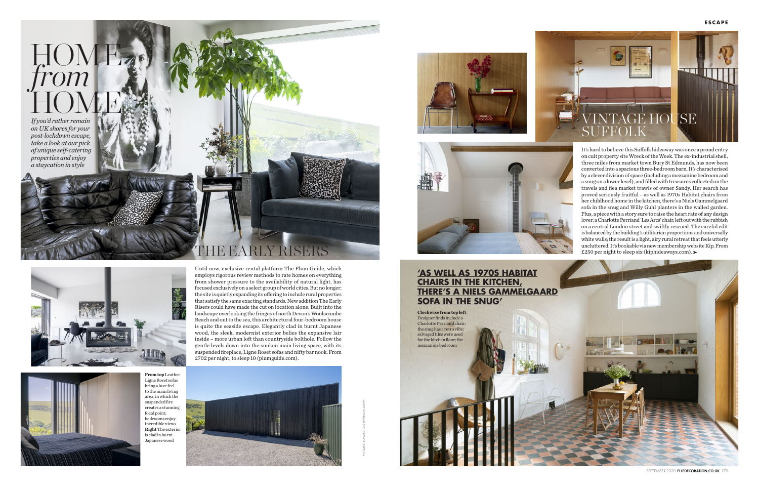Until now, exclusive rental platform The Plum Guide, which employs rigorous review methods to rate homes on everything from shower pressure to the availability of natural light, has focused exclusively on a select group of world cities. But no longer: the site is quietly expanding its offering to include rural properties that satisfy the same exacting standards. New addition The Early Risers could have made the cut on location alone. Built into the landscape overlooking the fringes of north Devon's Woolacombe Beach and out to the sea, this architectural four-bedroom house is quite the seaside escape. Elegantly clad in burnt Japanese wood, the sleek, modernist exterior belies the expansive lair inside – more urban loft than countryside bolthole. Follow the gentle levels down into the sunken main living space, with its



JSE SUFFOLK









It's hard to believe this Suffolk hideaway was once a proud entry on cult property site Wreck of the Week. The ex-industrial shell, three miles from market town Bury St Edmunds, has now been converted into a spacious three-bedroom barn. It's characterised by a clever division of space (including a mezzanine bedroom and a snug on a lower level), and filled with treasures collected on the travels and flea market trawls of owner Sandy. Her search has proved seriously fruitful – as well as 1970s Habitat chairs from her childhood home in the kitchen, there's a Niels Gammelgaard sofa in the snug and Willy Guhl planters in the walled garden. Plus, a piece with a story sure to raise the heart rate of any design lover: a Charlotte Perriand 'Les Arcs' chair, left out with the rubbish on a central London street and swiftly rescued. The careful edit is balanced by the building's utilitarian proportions and universally white walls; the result is a light, airy rural retreat that feels utterly uncluttered. It's bookable via new membership website Kip. From £250 per night to sleep six (kiphideaways.com).



SEPTEMBER 2020 ELLEDECORATION.CO.UK 179

## **'AS WELL AS 1970S HABITAT CHAIRS IN THE KITCHEN, THERE'S A NIELS GAMMELGAARD SOFA IN THE SNUG'**

**From top** Leather Ligne Roset sofas bring a luxe feel to the main living area, in which the suspended fire creates a stunning focal point; bedrooms enjoy incredible views **Right** The exterior is clad in burnt Japanese wood

**Clockwise from top left** Designer finds include a Charlotte Perriand chair; the snug has a retro vibe; salvaged tiles were used for the kitchen floor; the mezzanine bedroom